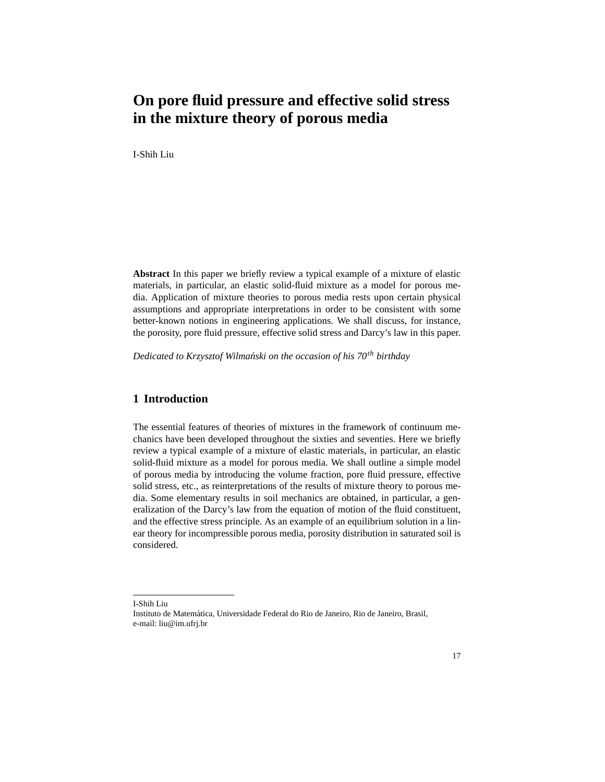# **On pore fluid pressure and effective solid stress in the mixture theory of porous media**

I-Shih Liu

**Abstract** In this paper we briefly review a typical example of a mixture of elastic materials, in particular, an elastic solid-fluid mixture as a model for porous media. Application of mixture theories to porous media rests upon certain physical assumptions and appropriate interpretations in order to be consistent with some better-known notions in engineering applications. We shall discuss, for instance, the porosity, pore fluid pressure, effective solid stress and Darcy's law in this paper.

*Dedicated to Krzysztof Wilmanski on the occasion of his 70 ´ th birthday*

# **1 Introduction**

The essential features of theories of mixtures in the framework of continuum mechanics have been developed throughout the sixties and seventies. Here we briefly review a typical example of a mixture of elastic materials, in particular, an elastic solid-fluid mixture as a model for porous media. We shall outline a simple model of porous media by introducing the volume fraction, pore fluid pressure, effective solid stress, etc., as reinterpretations of the results of mixture theory to porous media. Some elementary results in soil mechanics are obtained, in particular, a generalization of the Darcy's law from the equation of motion of the fluid constituent, and the effective stress principle. As an example of an equilibrium solution in a linear theory for incompressible porous media, porosity distribution in saturated soil is considered.

I-Shih Liu

Instituto de Matematica, Universidade Federal do Rio de Janeiro, Rio de Janeiro, Brasil, ´ e-mail: liu@im.ufrj.br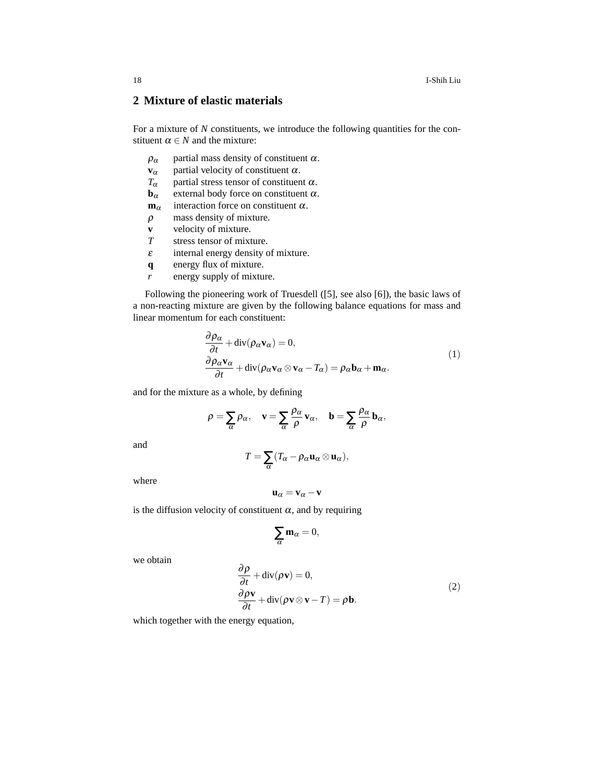18 I-Shih Liu

# **2 Mixture of elastic materials**

For a mixture of *N* constituents, we introduce the following quantities for the constituent  $\alpha \in N$  and the mixture:

- $\rho_{\alpha}$  partial mass density of constituent  $\alpha$ .
- **v** $\alpha$  partial velocity of constituent  $\alpha$ .
- *T*<sub>α</sub> partial stress tensor of constituent  $\alpha$ .<br>**b**<sub>α</sub> external body force on constituent  $\alpha$ .
- **b**<sub>α</sub> external body force on constituent  $\alpha$ .<br> **m**<sub>α</sub> interaction force on constituent  $\alpha$ .
- interaction force on constituent  $\alpha$ .
- $\rho$  mass density of mixture.
- **v** velocity of mixture.
- *T* stress tensor of mixture.
- $\epsilon$  internal energy density of mixture.
- **q** energy flux of mixture.
- *r* energy supply of mixture.

Following the pioneering work of Truesdell ([5], see also [6]), the basic laws of a non-reacting mixture are given by the following balance equations for mass and linear momentum for each constituent:

$$
\frac{\partial \rho_{\alpha}}{\partial t} + \text{div}(\rho_{\alpha} \mathbf{v}_{\alpha}) = 0, \n\frac{\partial \rho_{\alpha} \mathbf{v}_{\alpha}}{\partial t} + \text{div}(\rho_{\alpha} \mathbf{v}_{\alpha} \otimes \mathbf{v}_{\alpha} - T_{\alpha}) = \rho_{\alpha} \mathbf{b}_{\alpha} + \mathbf{m}_{\alpha}.
$$
\n(1)

and for the mixture as a whole, by defining

$$
\rho = \sum_{\alpha} \rho_{\alpha}, \quad \mathbf{v} = \sum_{\alpha} \frac{\rho_{\alpha}}{\rho} \mathbf{v}_{\alpha}, \quad \mathbf{b} = \sum_{\alpha} \frac{\rho_{\alpha}}{\rho} \mathbf{b}_{\alpha},
$$

and

$$
T=\sum_{\alpha}(T_{\alpha}-\rho_{\alpha}\mathbf{u}_{\alpha}\otimes\mathbf{u}_{\alpha}),
$$

where

$$
u_\alpha = v_\alpha - v
$$

is the diffusion velocity of constituent  $\alpha$ , and by requiring

$$
\sum_{\alpha} \mathbf{m}_{\alpha} = 0,
$$

we obtain

$$
\frac{\partial \rho}{\partial t} + \text{div}(\rho \mathbf{v}) = 0,
$$
  
\n
$$
\frac{\partial \rho \mathbf{v}}{\partial t} + \text{div}(\rho \mathbf{v} \otimes \mathbf{v} - T) = \rho \mathbf{b}.
$$
\n(2)

which together with the energy equation,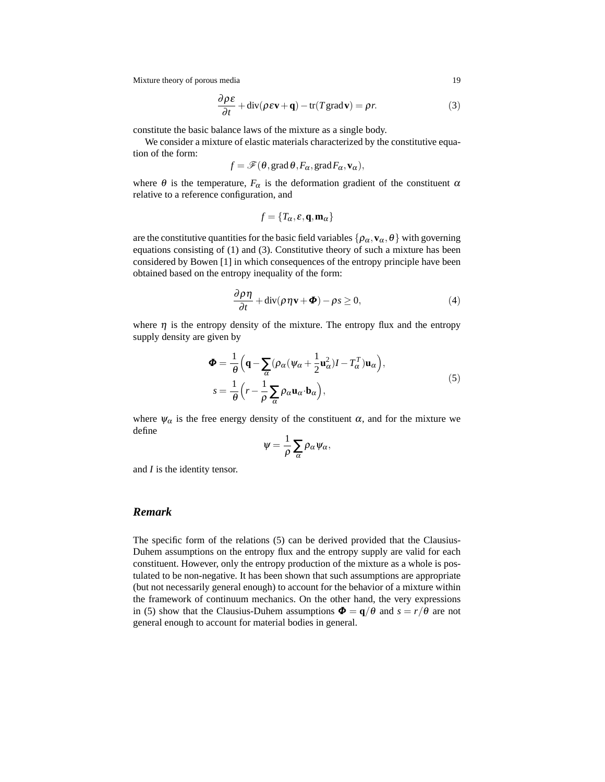$$
\frac{\partial \rho \varepsilon}{\partial t} + \text{div}(\rho \varepsilon \mathbf{v} + \mathbf{q}) - \text{tr}(T \text{grad } \mathbf{v}) = \rho r.
$$
 (3)

constitute the basic balance laws of the mixture as a single body.

We consider a mixture of elastic materials characterized by the constitutive equation of the form:

$$
f = \mathscr{F}(\theta, \text{grad}\,\theta, F_{\alpha}, \text{grad}\,F_{\alpha}, \mathbf{v}_{\alpha}),
$$

where  $\theta$  is the temperature,  $F_{\alpha}$  is the deformation gradient of the constituent  $\alpha$ relative to a reference configuration, and

$$
f = \{T_{\alpha}, \varepsilon, \mathbf{q}, \mathbf{m}_{\alpha}\}\
$$

are the constitutive quantities for the basic field variables  $\{\rho_\alpha, \mathbf{v}_\alpha, \theta\}$  with governing equations consisting of (1) and (3). Constitutive theory of such a mixture has been considered by Bowen [1] in which consequences of the entropy principle have been obtained based on the entropy inequality of the form:

$$
\frac{\partial \rho \eta}{\partial t} + \text{div}(\rho \eta \mathbf{v} + \boldsymbol{\Phi}) - \rho s \ge 0,
$$
\n(4)

where  $\eta$  is the entropy density of the mixture. The entropy flux and the entropy supply density are given by

$$
\Phi = \frac{1}{\theta} \left( \mathbf{q} - \sum_{\alpha} (\rho_{\alpha} (\psi_{\alpha} + \frac{1}{2} \mathbf{u}_{\alpha}^{2}) I - T_{\alpha}^{T}) \mathbf{u}_{\alpha} \right),
$$
  

$$
s = \frac{1}{\theta} \left( r - \frac{1}{\rho} \sum_{\alpha} \rho_{\alpha} \mathbf{u}_{\alpha} \cdot \mathbf{b}_{\alpha} \right),
$$
 (5)

where  $\psi_{\alpha}$  is the free energy density of the constituent  $\alpha$ , and for the mixture we define

$$
\psi = \frac{1}{\rho} \sum_{\alpha} \rho_{\alpha} \psi_{\alpha},
$$

and *I* is the identity tensor.

## *Remark*

The specific form of the relations (5) can be derived provided that the Clausius-Duhem assumptions on the entropy flux and the entropy supply are valid for each constituent. However, only the entropy production of the mixture as a whole is postulated to be non-negative. It has been shown that such assumptions are appropriate (but not necessarily general enough) to account for the behavior of a mixture within the framework of continuum mechanics. On the other hand, the very expressions in (5) show that the Clausius-Duhem assumptions  $\Phi = q/\theta$  and  $s = r/\theta$  are not general enough to account for material bodies in general.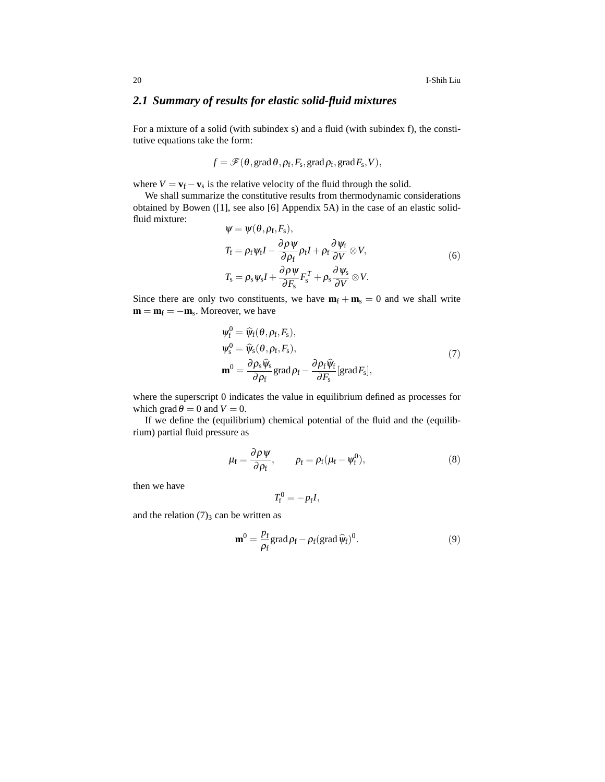20 I-Shih Liu

## *2.1 Summary of results for elastic solid-fluid mixtures*

For a mixture of a solid (with subindex s) and a fluid (with subindex f), the constitutive equations take the form:

$$
f = \mathscr{F}(\theta, \text{grad}\,\theta, \rho_f, F_s, \text{grad}\,\rho_f, \text{grad}\,F_s, V),
$$

where  $V = v_f - v_s$  is the relative velocity of the fluid through the solid.

We shall summarize the constitutive results from thermodynamic considerations obtained by Bowen ([1], see also [6] Appendix 5A) in the case of an elastic solidfluid mixture:

$$
\Psi = \Psi(\theta, \rho_{f}, F_{s}),
$$
  
\n
$$
T_{f} = \rho_{f} \psi_{f} I - \frac{\partial \rho \psi}{\partial \rho_{f}} \rho_{f} I + \rho_{f} \frac{\partial \psi_{f}}{\partial V} \otimes V,
$$
  
\n
$$
T_{s} = \rho_{s} \psi_{s} I + \frac{\partial \rho \psi}{\partial F_{s}} F_{s}^{T} + \rho_{s} \frac{\partial \psi_{s}}{\partial V} \otimes V.
$$
\n(6)

Since there are only two constituents, we have  $\mathbf{m}_f + \mathbf{m}_s = 0$  and we shall write  $\mathbf{m} = \mathbf{m}_{\text{f}} = -\mathbf{m}_{\text{s}}$ . Moreover, we have

$$
\begin{aligned} \n\psi_{\rm f}^{0} &= \widehat{\psi}_{\rm f}(\theta, \rho_{\rm f}, F_{\rm s}), \\ \n\psi_{\rm s}^{0} &= \widehat{\psi}_{\rm s}(\theta, \rho_{\rm f}, F_{\rm s}), \\ \n\mathbf{m}^{0} &= \frac{\partial \rho_{\rm s} \widehat{\psi}_{\rm s}}{\partial \rho_{\rm f}} \text{grad} \rho_{\rm f} - \frac{\partial \rho_{\rm f} \widehat{\psi}_{\rm f}}{\partial F_{\rm s}} \text{[grad } F_{\rm s}], \n\end{aligned} \tag{7}
$$

where the superscript 0 indicates the value in equilibrium defined as processes for which grad  $\theta = 0$  and  $V = 0$ .

If we define the (equilibrium) chemical potential of the fluid and the (equilibrium) partial fluid pressure as

$$
\mu_{\rm f} = \frac{\partial \rho \psi}{\partial \rho_{\rm f}}, \qquad p_{\rm f} = \rho_{\rm f} (\mu_{\rm f} - \psi_{\rm f}^0), \qquad (8)
$$

then we have

$$
T_{\rm f}^0 = -p_{\rm f}I,
$$

and the relation  $(7)_3$  can be written as

$$
\mathbf{m}^0 = \frac{p_f}{\rho_f} \text{grad}\,\rho_f - \rho_f (\text{grad}\,\widehat{\psi}_f)^0. \tag{9}
$$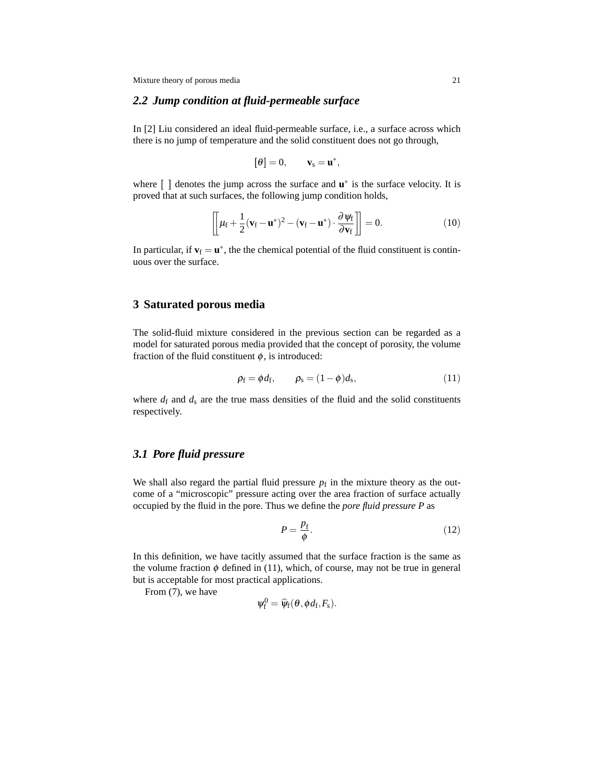## *2.2 Jump condition at fluid-permeable surface*

In [2] Liu considered an ideal fluid-permeable surface, i.e., a surface across which there is no jump of temperature and the solid constituent does not go through,

$$
[\theta]=0,\qquad {\bf v}_s={\bf u}^*,
$$

where [] denotes the jump across the surface and **u**<sup>\*</sup> is the surface velocity. It is proved that at such surfaces, the following jump condition holds,

$$
\left[\left[\mu_{\rm f} + \frac{1}{2}(\mathbf{v}_{\rm f} - \mathbf{u}^*)^2 - (\mathbf{v}_{\rm f} - \mathbf{u}^*) \cdot \frac{\partial \psi_{\rm f}}{\partial \mathbf{v}_{\rm f}}\right]\right] = 0.
$$
\n(10)

In particular, if  $\mathbf{v}_f = \mathbf{u}^*$ , the the chemical potential of the fluid constituent is continuous over the surface.

#### **3 Saturated porous media**

The solid-fluid mixture considered in the previous section can be regarded as a model for saturated porous media provided that the concept of porosity, the volume fraction of the fluid constituent  $\phi$ , is introduced:

$$
\rho_{\rm f} = \phi d_{\rm f}, \qquad \rho_{\rm s} = (1 - \phi) d_{\rm s}, \tag{11}
$$

where  $d_f$  and  $d_s$  are the true mass densities of the fluid and the solid constituents respectively.

## *3.1 Pore fluid pressure*

We shall also regard the partial fluid pressure  $p_f$  in the mixture theory as the outcome of a "microscopic" pressure acting over the area fraction of surface actually occupied by the fluid in the pore. Thus we define the *pore fluid pressure P* as

$$
P = \frac{p_{\rm f}}{\phi}.\tag{12}
$$

In this definition, we have tacitly assumed that the surface fraction is the same as the volume fraction  $\phi$  defined in (11), which, of course, may not be true in general but is acceptable for most practical applications.

From (7), we have

$$
\psi_{\rm f}^0 = \widehat{\psi}_{\rm f}(\theta, \phi d_{\rm f}, F_{\rm s}).
$$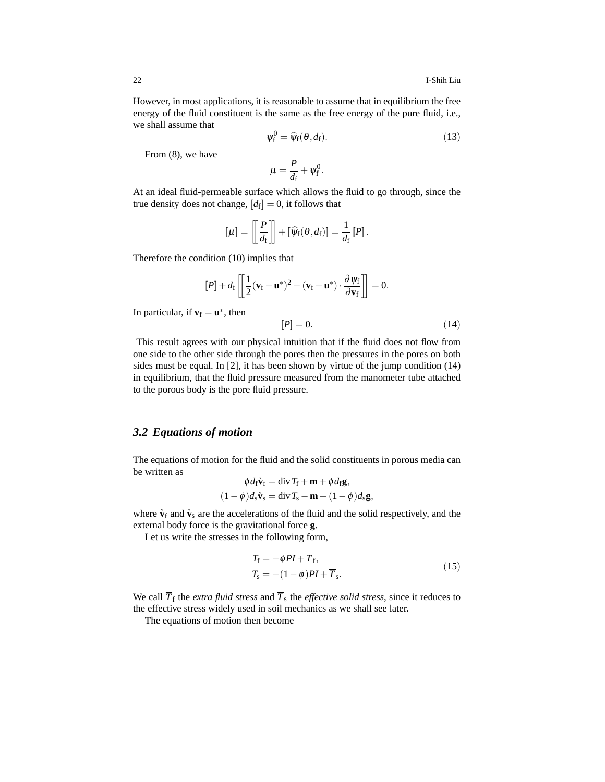However, in most applications, it is reasonable to assume that in equilibrium the free energy of the fluid constituent is the same as the free energy of the pure fluid, i.e., we shall assume that

$$
\psi_{\rm f}^0 = \widehat{\psi}_{\rm f}(\theta, d_{\rm f}). \tag{13}
$$

From (8), we have

$$
\mu=\frac{P}{d_{\rm f}}+\psi_{\rm f}^0.
$$

At an ideal fluid-permeable surface which allows the fluid to go through, since the true density does not change,  $[d_f] = 0$ , it follows that

$$
\left[\mu\right] = \left[\!\left[ \frac{P}{d_{\rm f}}\right]\!\right] + \left[\widehat{\psi}_{\rm f}(\theta, d_{\rm f})\right] = \frac{1}{d_{\rm f}}\left[P\right].
$$

Therefore the condition (10) implies that

$$
[P] + d_f \left[ \frac{1}{2} (\mathbf{v}_f - \mathbf{u}^*)^2 - (\mathbf{v}_f - \mathbf{u}^*) \cdot \frac{\partial \psi_f}{\partial \mathbf{v}_f} \right] = 0.
$$

In particular, if  $\mathbf{v}_f = \mathbf{u}^*$ , then

$$
[P] = 0.\t\t(14)
$$

This result agrees with our physical intuition that if the fluid does not flow from one side to the other side through the pores then the pressures in the pores on both sides must be equal. In [2], it has been shown by virtue of the jump condition (14) in equilibrium, that the fluid pressure measured from the manometer tube attached to the porous body is the pore fluid pressure.

#### *3.2 Equations of motion*

The equations of motion for the fluid and the solid constituents in porous media can be written as φ*d*f**v**`<sup>f</sup> = div*T*<sup>f</sup> +**m**+φ*d*f**g**,

$$
\varphi d_{\rm f} \mathbf{v}_{\rm f} = \text{div} \, I_{\rm f} + \mathbf{m} + \varphi d_{\rm f} \mathbf{g},
$$

$$
(1 - \varphi) d_{\rm s} \dot{\mathbf{v}}_{\rm s} = \text{div} \, T_{\rm s} - \mathbf{m} + (1 - \varphi) d_{\rm s} \mathbf{g},
$$

where  $\hat{\mathbf{v}}_f$  and  $\hat{\mathbf{v}}_s$  are the accelerations of the fluid and the solid respectively, and the external body force is the gravitational force **g**.

Let us write the stresses in the following form,

$$
T_{\rm f} = -\phi P I + \overline{T}_{\rm f},
$$
  
\n
$$
T_{\rm s} = -(1 - \phi) P I + \overline{T}_{\rm s}.
$$
\n(15)

We call  $\overline{T}_{\text{f}}$  the *extra fluid stress* and  $\overline{T}_{\text{s}}$  the *effective solid stress*, since it reduces to the effective stress widely used in soil mechanics as we shall see later.

The equations of motion then become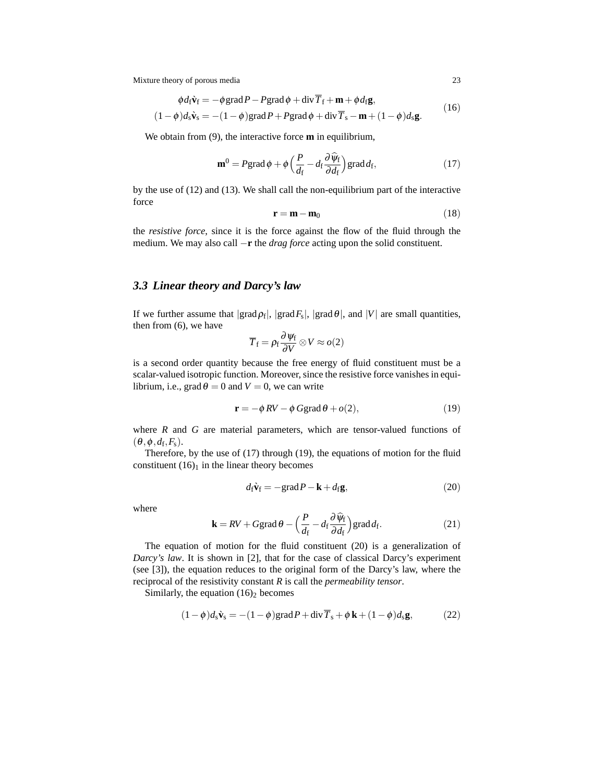$$
\begin{aligned}\n\phi d_{\rm f} \tilde{\mathbf{v}}_{\rm f} &= -\phi \operatorname{grad} P - P \operatorname{grad} \phi + \operatorname{div} \overline{T}_{\rm f} + \mathbf{m} + \phi d_{\rm f} \mathbf{g}, \\
(1 - \phi) d_{\rm s} \tilde{\mathbf{v}}_{\rm s} &= -(1 - \phi) \operatorname{grad} P + P \operatorname{grad} \phi + \operatorname{div} \overline{T}_{\rm s} - \mathbf{m} + (1 - \phi) d_{\rm s} \mathbf{g}.\n\end{aligned}
$$
\n(16)

We obtain from (9), the interactive force **m** in equilibrium,

$$
\mathbf{m}^0 = P \operatorname{grad} \phi + \phi \left( \frac{P}{d_f} - d_f \frac{\partial \widehat{\psi}_f}{\partial d_f} \right) \operatorname{grad} d_f, \tag{17}
$$

by the use of (12) and (13). We shall call the non-equilibrium part of the interactive force

$$
\mathbf{r} = \mathbf{m} - \mathbf{m}_0 \tag{18}
$$

the *resistive force*, since it is the force against the flow of the fluid through the medium. We may also call −**r** the *drag force* acting upon the solid constituent.

#### *3.3 Linear theory and Darcy's law*

If we further assume that  $|grad \rho_f|$ ,  $|grad F_s|$ ,  $|grad \theta|$ , and  $|V|$  are small quantities, then from (6), we have

$$
\overline{T}_{\rm f} = \rho_{\rm f} \frac{\partial \psi_{\rm f}}{\partial V} \otimes V \approx o(2)
$$

is a second order quantity because the free energy of fluid constituent must be a scalar-valued isotropic function. Moreover, since the resistive force vanishes in equilibrium, i.e., grad  $\theta = 0$  and  $V = 0$ , we can write

$$
\mathbf{r} = -\phi \, RV - \phi \, \text{Ggrad} \, \theta + o(2),\tag{19}
$$

where *R* and *G* are material parameters, which are tensor-valued functions of  $(\theta, \phi, d_{\rm f}, F_{\rm s}).$ 

Therefore, by the use of (17) through (19), the equations of motion for the fluid constituent  $(16)<sub>1</sub>$  in the linear theory becomes

$$
d_{\mathbf{f}}\mathbf{\dot{v}}_{\mathbf{f}} = -\text{grad}\,P - \mathbf{k} + d_{\mathbf{f}}\mathbf{g},\tag{20}
$$

where

$$
\mathbf{k} = RV + G\text{grad}\,\theta - \left(\frac{P}{d_{\rm f}} - d_{\rm f}\frac{\partial \widehat{\psi}_{\rm f}}{\partial d_{\rm f}}\right)\text{grad}\,d_{\rm f}.\tag{21}
$$

The equation of motion for the fluid constituent (20) is a generalization of *Darcy's law*. It is shown in [2], that for the case of classical Darcy's experiment (see [3]), the equation reduces to the original form of the Darcy's law, where the reciprocal of the resistivity constant *R* is call the *permeability tensor*.

Similarly, the equation  $(16)_2$  becomes

$$
(1 - \phi)d_s \mathbf{\hat{v}}_s = -(1 - \phi)grad P + div \overline{T}_s + \phi \mathbf{k} + (1 - \phi)d_s \mathbf{g},
$$
 (22)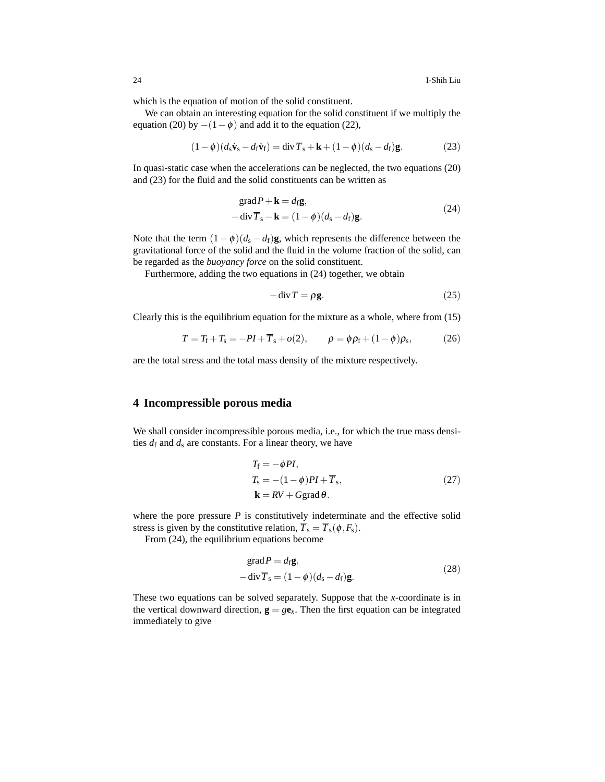which is the equation of motion of the solid constituent.

We can obtain an interesting equation for the solid constituent if we multiply the equation (20) by  $-(1-\phi)$  and add it to the equation (22),

$$
(1 - \phi)(d_s \dot{\mathbf{v}}_s - d_f \dot{\mathbf{v}}_f) = \text{div}\,\overline{T}_s + \mathbf{k} + (1 - \phi)(d_s - d_f)\mathbf{g}.
$$
 (23)

In quasi-static case when the accelerations can be neglected, the two equations (20) and (23) for the fluid and the solid constituents can be written as

$$
\begin{aligned} \n\text{grad}\,P + \mathbf{k} &= d_{\text{f}}\mathbf{g}, \\ \n-\text{div}\,\overline{T}_{\text{s}} - \mathbf{k} &= (1 - \phi)(d_{\text{s}} - d_{\text{f}})\mathbf{g}. \n\end{aligned} \tag{24}
$$

Note that the term  $(1 - \phi)(d_s - d_f)$ **g**, which represents the difference between the gravitational force of the solid and the fluid in the volume fraction of the solid, can be regarded as the *buoyancy force* on the solid constituent.

Furthermore, adding the two equations in (24) together, we obtain

$$
-\operatorname{div} T = \rho \mathbf{g}.\tag{25}
$$

Clearly this is the equilibrium equation for the mixture as a whole, where from (15)

$$
T = T_{\rm f} + T_{\rm s} = -PI + \overline{T}_{\rm s} + o(2), \qquad \rho = \phi \rho_{\rm f} + (1 - \phi) \rho_{\rm s}, \tag{26}
$$

are the total stress and the total mass density of the mixture respectively.

## **4 Incompressible porous media**

We shall consider incompressible porous media, i.e., for which the true mass densities  $d_f$  and  $d_s$  are constants. For a linear theory, we have

$$
T_{\rm f} = -\phi P I,
$$
  
\n
$$
T_{\rm s} = -(1 - \phi) P I + \overline{T}_{\rm s},
$$
  
\n
$$
\mathbf{k} = R V + G \text{grad } \theta.
$$
\n(27)

where the pore pressure  $P$  is constitutively indeterminate and the effective solid stress is given by the constitutive relation,  $\overline{T}_s = \overline{T}_s(\phi, F_s)$ .

From (24), the equilibrium equations become

$$
\begin{aligned} \n\text{grad}\,P &= d_{\text{f}}\mathbf{g}, \\ \n-\text{div}\,\overline{T}_{\text{s}} &= (1 - \phi)(d_{\text{s}} - d_{\text{f}})\mathbf{g}. \n\end{aligned} \tag{28}
$$

These two equations can be solved separately. Suppose that the *x*-coordinate is in the vertical downward direction,  $g = g e_x$ . Then the first equation can be integrated immediately to give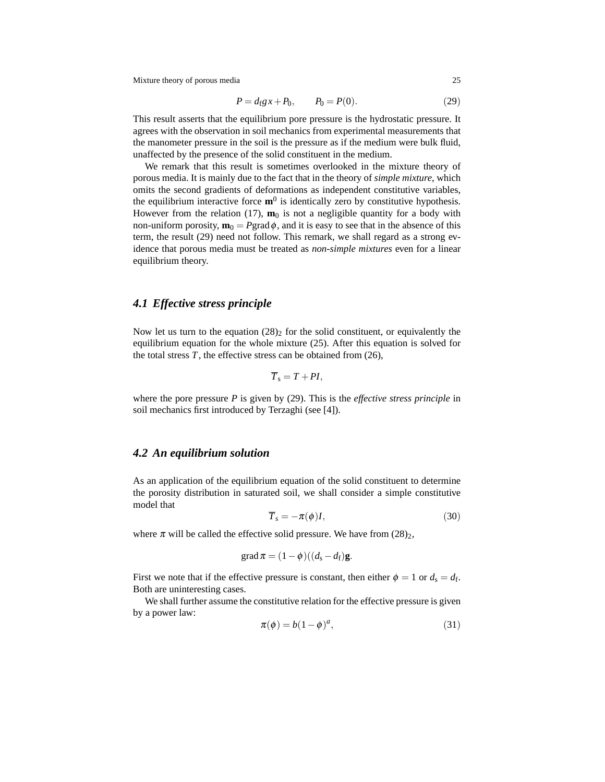$$
P = d_f g x + P_0, \qquad P_0 = P(0). \tag{29}
$$

This result asserts that the equilibrium pore pressure is the hydrostatic pressure. It agrees with the observation in soil mechanics from experimental measurements that the manometer pressure in the soil is the pressure as if the medium were bulk fluid, unaffected by the presence of the solid constituent in the medium.

We remark that this result is sometimes overlooked in the mixture theory of porous media. It is mainly due to the fact that in the theory of *simple mixture*, which omits the second gradients of deformations as independent constitutive variables, the equilibrium interactive force  $\mathbf{m}^0$  is identically zero by constitutive hypothesis. However from the relation (17),  $\mathbf{m}_0$  is not a negligible quantity for a body with non-uniform porosity,  $\mathbf{m}_0 = P$ grad $\phi$ , and it is easy to see that in the absence of this term, the result (29) need not follow. This remark, we shall regard as a strong evidence that porous media must be treated as *non-simple mixtures* even for a linear equilibrium theory.

## *4.1 Effective stress principle*

Now let us turn to the equation  $(28)_2$  for the solid constituent, or equivalently the equilibrium equation for the whole mixture (25). After this equation is solved for the total stress  $T$ , the effective stress can be obtained from  $(26)$ ,

$$
\overline{T}_{\rm s}=T+PI,
$$

where the pore pressure *P* is given by (29). This is the *effective stress principle* in soil mechanics first introduced by Terzaghi (see [4]).

## *4.2 An equilibrium solution*

As an application of the equilibrium equation of the solid constituent to determine the porosity distribution in saturated soil, we shall consider a simple constitutive model that

$$
\overline{T}_{\rm s} = -\pi(\phi)I,\tag{30}
$$

where  $\pi$  will be called the effective solid pressure. We have from (28)<sub>2</sub>,

$$
\operatorname{grad} \pi = (1 - \phi)((d_s - d_f)\mathbf{g}).
$$

First we note that if the effective pressure is constant, then either  $\phi = 1$  or  $d_s = d_f$ . Both are uninteresting cases.

We shall further assume the constitutive relation for the effective pressure is given by a power law:

$$
\pi(\phi) = b(1 - \phi)^a,\tag{31}
$$